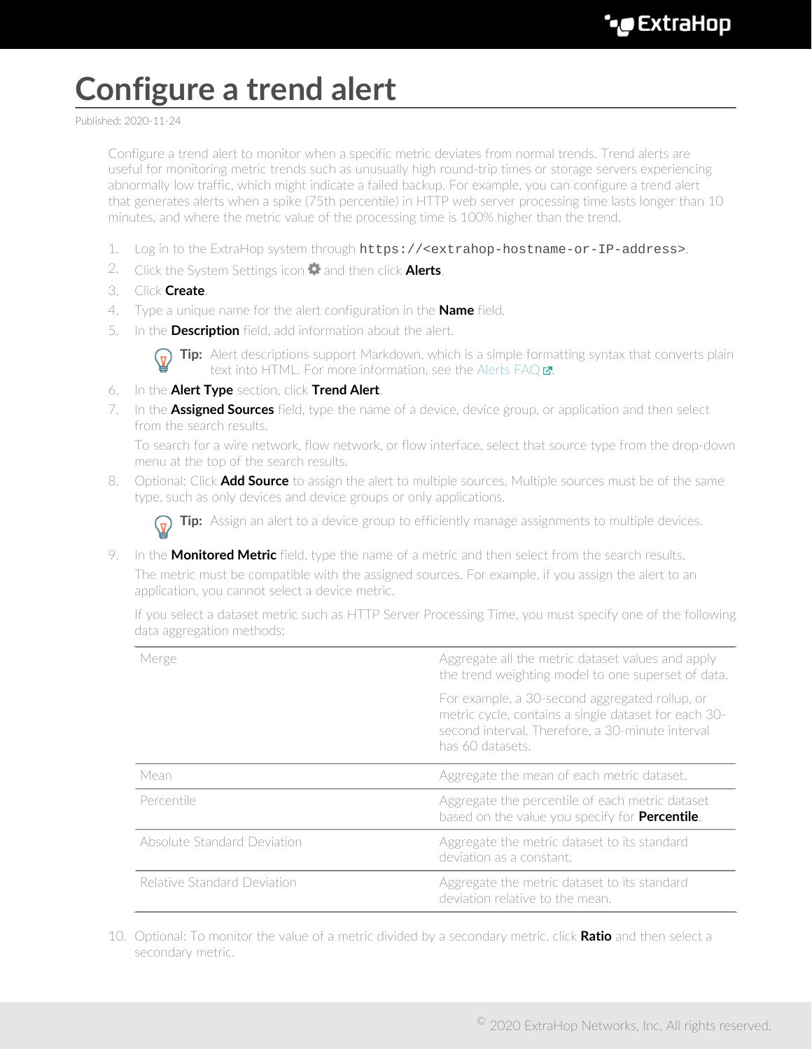## **Configure a trend alert**

Published: 2020-11-24

Configure a trend alert to monitor when a specific metric deviates from normal trends. Trend alerts are useful for monitoring metric trends such as unusually high round-trip times or storage servers experiencing abnormally low traffic, which might indicate a failed backup. For example, you can configure a trend alert that generates alerts when a spike (75th percentile) in HTTP web server processing time lasts longer than 10 minutes, and where the metric value of the processing time is 100% higher than the trend.

- 1. Log in to the ExtraHop system through https://<extrahop-hostname-or-IP-address>.
- 2. Click the System Settings icon **and then click Alerts.**
- 3. Click **Create**.
- 4. Type a unique name for the alert configuration in the **Name** field.
- 5. In the **Description** field, add information about the alert.



**Tip:** Alert descriptions support Markdown, which is a simple formatting syntax that converts plain text into HTML. For more information, see the Alerts FAQ $\blacksquare$ .

- 6. In the **Alert Type** section, click **Trend Alert**.
- 7. In the **Assigned Sources** field, type the name of a device, device group, or application and then select from the search results.

To search for a wire network, flow network, or flow interface, select that source type from the drop-down menu at the top of the search results.

8. Optional: Click **Add Source** to assign the alert to multiple sources. Multiple sources must be of the same type, such as only devices and device groups or only applications.

**Tip:** Assign an alert to a device group to efficiently manage assignments to multiple devices.

9. In the **Monitored Metric** field, type the name of a metric and then select from the search results.

The metric must be compatible with the assigned sources. For example, if you assign the alert to an application, you cannot select a device metric.

If you select a dataset metric such as HTTP Server Processing Time, you must specify one of the following data aggregation methods:

| Merge                       | Aggregate all the metric dataset values and apply<br>the trend weighting model to one superset of data.                                                                        |
|-----------------------------|--------------------------------------------------------------------------------------------------------------------------------------------------------------------------------|
|                             | For example, a 30-second aggregated rollup, or<br>metric cycle, contains a single dataset for each 30-<br>second interval. Therefore, a 30-minute interval<br>has 60 datasets. |
| Mean                        | Aggregate the mean of each metric dataset.                                                                                                                                     |
| Percentile                  | Aggregate the percentile of each metric dataset<br>based on the value you specify for Percentile.                                                                              |
| Absolute Standard Deviation | Aggregate the metric dataset to its standard<br>deviation as a constant                                                                                                        |
| Relative Standard Deviation | Aggregate the metric dataset to its standard<br>deviation relative to the mean.                                                                                                |

10. Optional: To monitor the value of a metric divided by a secondary metric, click **Ratio** and then select a secondary metric.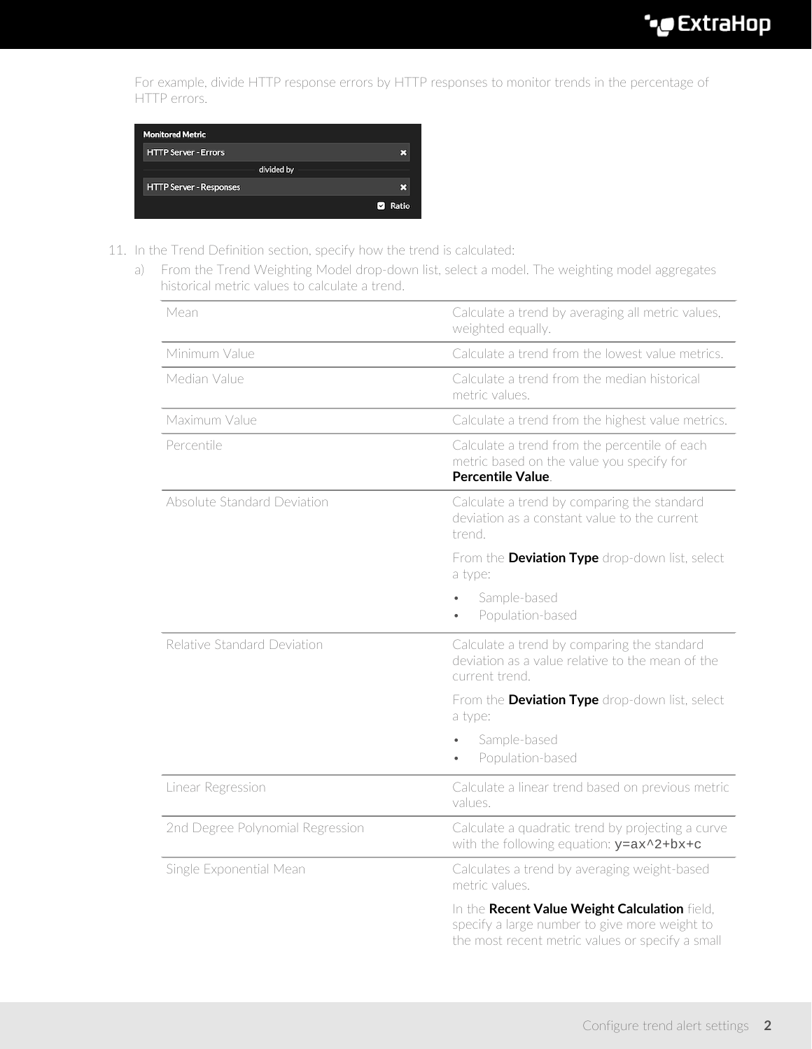For example, divide HTTP response errors by HTTP responses to monitor trends in the percentage of HTTP errors.



- 11. In the Trend Definition section, specify how the trend is calculated:
	- a) From the Trend Weighting Model drop-down list, select a model. The weighting model aggregates historical metric values to calculate a trend.

| Mean                             | Calculate a trend by averaging all metric values,<br>weighted equally.                                                                             |
|----------------------------------|----------------------------------------------------------------------------------------------------------------------------------------------------|
| Minimum Value                    | Calculate a trend from the lowest value metrics.                                                                                                   |
| Median Value                     | Calculate a trend from the median historical<br>metric values.                                                                                     |
| Maximum Value                    | Calculate a trend from the highest value metrics.                                                                                                  |
| Percentile                       | Calculate a trend from the percentile of each<br>metric based on the value you specify for<br><b>Percentile Value</b>                              |
| Absolute Standard Deviation      | Calculate a trend by comparing the standard<br>deviation as a constant value to the current<br>trend.                                              |
|                                  | From the Deviation Type drop-down list, select<br>a type:                                                                                          |
|                                  | Sample-based<br>Population-based<br>$\bullet$                                                                                                      |
| Relative Standard Deviation      | Calculate a trend by comparing the standard<br>deviation as a value relative to the mean of the<br>current trend.                                  |
|                                  | From the Deviation Type drop-down list, select<br>a type:                                                                                          |
|                                  | Sample-based<br>Population-based                                                                                                                   |
| Linear Regression                | Calculate a linear trend based on previous metric<br>values.                                                                                       |
| 2nd Degree Polynomial Regression | Calculate a quadratic trend by projecting a curve<br>with the following equation: $y = ax^2 + bx + c$                                              |
| Single Exponential Mean          | Calculates a trend by averaging weight-based<br>metric values.                                                                                     |
|                                  | In the Recent Value Weight Calculation field,<br>specify a large number to give more weight to<br>the most recent metric values or specify a small |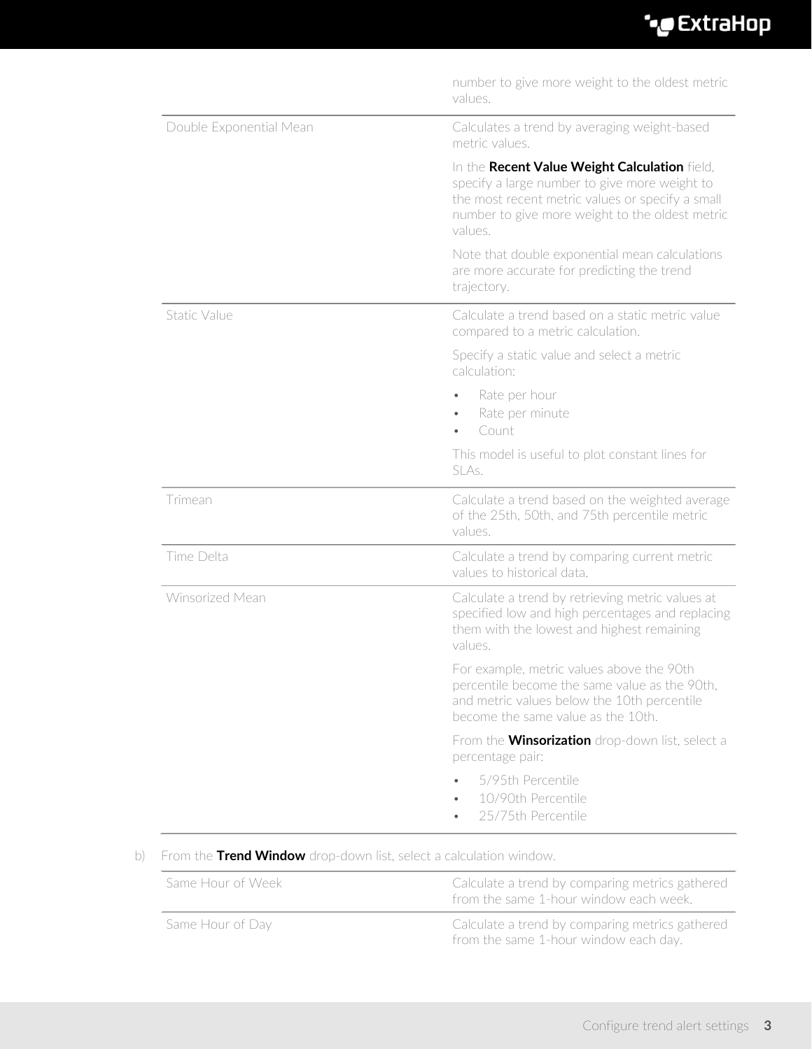| number to give more weight to the oldest metric<br>values.                                                                                                                                                       |
|------------------------------------------------------------------------------------------------------------------------------------------------------------------------------------------------------------------|
| Calculates a trend by averaging weight-based<br>metric values.                                                                                                                                                   |
| In the Recent Value Weight Calculation field,<br>specify a large number to give more weight to<br>the most recent metric values or specify a small<br>number to give more weight to the oldest metric<br>values. |
| Note that double exponential mean calculations<br>are more accurate for predicting the trend<br>trajectory.                                                                                                      |
| Calculate a trend based on a static metric value<br>compared to a metric calculation.                                                                                                                            |
| Specify a static value and select a metric<br>calculation:                                                                                                                                                       |
| Rate per hour<br>Rate per minute<br>Count                                                                                                                                                                        |
| This model is useful to plot constant lines for<br>SLAs.                                                                                                                                                         |
| Calculate a trend based on the weighted average<br>of the 25th, 50th, and 75th percentile metric<br>values.                                                                                                      |
| Calculate a trend by comparing current metric<br>values to historical data.                                                                                                                                      |
| Calculate a trend by retrieving metric values at<br>specified low and high percentages and replacing<br>them with the lowest and highest remaining<br>values.                                                    |
| For example, metric values above the 90th<br>percentile become the same value as the 90th,<br>and metric values below the 10th percentile<br>become the same value as the 10th.                                  |
| From the <b>Winsorization</b> drop-down list, select a<br>percentage pair:                                                                                                                                       |
| 5/95th Percentile<br>10/90th Percentile<br>25/75th Percentile                                                                                                                                                    |
|                                                                                                                                                                                                                  |

## b) From the **Trend Window** drop-down list, select a calculation window.

| Same Hour of Week | Calculate a trend by comparing metrics gathered<br>from the same 1-hour window each week. |
|-------------------|-------------------------------------------------------------------------------------------|
| Same Hour of Day  | Calculate a trend by comparing metrics gathered<br>from the same 1-hour window each day.  |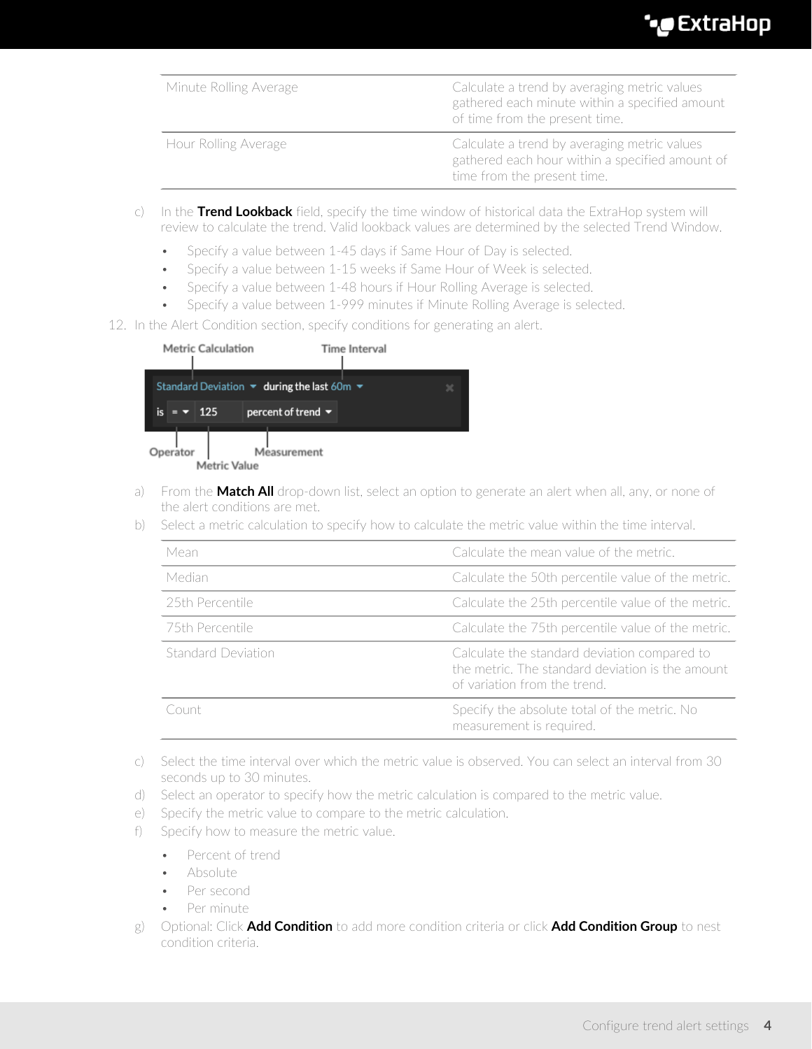| Minute Rolling Average | Calculate a trend by averaging metric values<br>gathered each minute within a specified amount<br>of time from the present time. |
|------------------------|----------------------------------------------------------------------------------------------------------------------------------|
| Hour Rolling Average   | Calculate a trend by averaging metric values<br>gathered each hour within a specified amount of<br>time from the present time.   |

- c) In the **Trend Lookback** field, specify the time window of historical data the ExtraHop system will review to calculate the trend. Valid lookback values are determined by the selected Trend Window.
	- Specify a value between 1-45 days if Same Hour of Day is selected.
	- Specify a value between 1-15 weeks if Same Hour of Week is selected.
	- Specify a value between 1-48 hours if Hour Rolling Average is selected.
	- Specify a value between 1-999 minutes if Minute Rolling Average is selected.
- 12. In the Alert Condition section, specify conditions for generating an alert.

|         |     | <b>Metric Calculation</b> | Time Interval                                                                    |   |
|---------|-----|---------------------------|----------------------------------------------------------------------------------|---|
|         |     |                           | Standard Deviation $\blacktriangledown$ during the last 60m $\blacktriangledown$ | × |
| is<br>= | 125 |                           | percent of trend $\blacktriangledown$                                            |   |
| erator  |     | <b>Metric Value</b>       | Measurement                                                                      |   |

- a) From the **Match All** drop-down list, select an option to generate an alert when all, any, or none of the alert conditions are met.
- b) Select a metric calculation to specify how to calculate the metric value within the time interval.

| Mean               | Calculate the mean value of the metric.                                                                                          |
|--------------------|----------------------------------------------------------------------------------------------------------------------------------|
| Median             | Calculate the 50th percentile value of the metric.                                                                               |
| 25th Percentile    | Calculate the 25th percentile value of the metric.                                                                               |
| 75th Percentile    | Calculate the 75th percentile value of the metric.                                                                               |
| Standard Deviation | Calculate the standard deviation compared to<br>the metric. The standard deviation is the amount<br>of variation from the trend. |
| Count              | Specify the absolute total of the metric. No<br>measurement is required.                                                         |

- c) Select the time interval over which the metric value is observed. You can select an interval from 30 seconds up to 30 minutes.
- d) Select an operator to specify how the metric calculation is compared to the metric value.
- e) Specify the metric value to compare to the metric calculation.
- f) Specify how to measure the metric value.
	- Percent of trend
	- Absolute
	- Per second
	- Per minute
- g) Optional: Click **Add Condition** to add more condition criteria or click **Add Condition Group** to nest condition criteria.